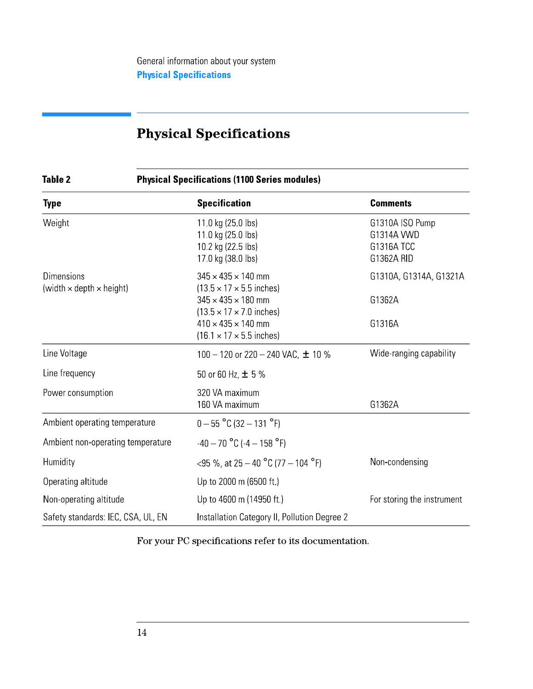# **Physical Specifications**

#### **Physical Specifications (1100 Series modules) Table 2**

| <b>Type</b>                                                 | <b>Specification</b>                                                                                            | <b>Comments</b>                                           |
|-------------------------------------------------------------|-----------------------------------------------------------------------------------------------------------------|-----------------------------------------------------------|
| Weight                                                      | 11.0 kg (25.0 lbs)<br>11.0 kg (25.0 lbs)<br>10.2 kg (22.5 lbs)<br>17.0 kg (38.0 lbs)                            | G1310A ISO Pump<br>G1314A VWD<br>G1316A TCC<br>G1362A RID |
| <b>Dimensions</b><br>(width $\times$ depth $\times$ height) | $345 \times 435 \times 140$ mm<br>$(13.5 \times 17 \times 5.5)$ inches)<br>$345 \times 435 \times 180$ mm       | G1310A, G1314A, G1321A<br>G1362A                          |
|                                                             | $(13.5 \times 17 \times 7.0$ inches)<br>$410 \times 435 \times 140$ mm<br>$(16.1 \times 17 \times 5.5)$ inches) | G1316A                                                    |
| Line Voltage                                                | 100 – 120 or 220 – 240 VAC, $\pm$ 10 %                                                                          | Wide-ranging capability                                   |
| Line frequency                                              | 50 or 60 Hz, $\pm$ 5%                                                                                           |                                                           |
| Power consumption                                           | 320 VA maximum<br>160 VA maximum                                                                                | G1362A                                                    |
| Ambient operating temperature                               | $0 - 55$ °C (32 - 131 °F)                                                                                       |                                                           |
| Ambient non-operating temperature                           | $-40 - 70$ °C ( $-4 - 158$ °F)                                                                                  |                                                           |
| Humidity                                                    | <95 %, at 25 – 40 °C (77 – 104 °F)                                                                              | Non-condensing                                            |
| Operating altitude                                          | Up to 2000 m (6500 ft.)                                                                                         |                                                           |
| Non-operating altitude                                      | Up to 4600 m (14950 ft)                                                                                         | For storing the instrument                                |
| Safety standards: IEC, CSA, UL, EN                          | Installation Category II, Pollution Degree 2                                                                    |                                                           |

For your PC specifications refer to its documentation.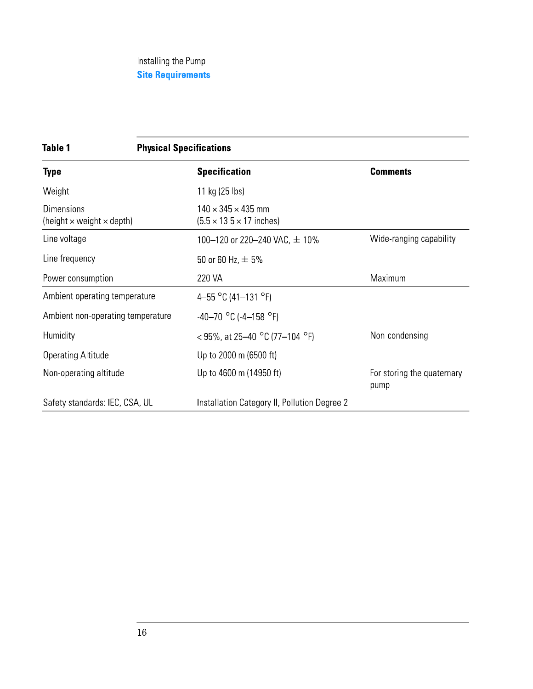# Installing the Pump **Site Requirements**

| <b>Table 1</b>                                               | <b>Physical Specifications</b>                                          |                                    |  |
|--------------------------------------------------------------|-------------------------------------------------------------------------|------------------------------------|--|
| Type                                                         | <b>Specification</b>                                                    | <b>Comments</b>                    |  |
| Weight                                                       | 11 kg (25 lbs)                                                          |                                    |  |
| <b>Dimensions</b><br>(height $\times$ weight $\times$ depth) | $140 \times 345 \times 435$ mm<br>$(5.5 \times 13.5 \times 17)$ inches) |                                    |  |
| Line voltage                                                 | 100-120 or 220-240 VAC, ± 10%                                           | Wide-ranging capability            |  |
| Line frequency                                               | 50 or 60 Hz, $\pm$ 5%                                                   |                                    |  |
| Power consumption                                            | 220 VA                                                                  | Maximum                            |  |
| Ambient operating temperature                                | 4-55 °C (41-131 °F)                                                     |                                    |  |
| Ambient non-operating temperature                            | $-40-70$ °C ( $-4-158$ °F)                                              |                                    |  |
| Humidity                                                     | < 95%, at 25–40 °C (77–104 °F)                                          | Non-condensing                     |  |
| <b>Operating Altitude</b>                                    | Up to 2000 m (6500 ft)                                                  |                                    |  |
| Non-operating altitude                                       | Up to 4600 m (14950 ft)                                                 | For storing the quaternary<br>pump |  |
| Safety standards: IEC, CSA, UL                               | Installation Category II, Pollution Degree 2                            |                                    |  |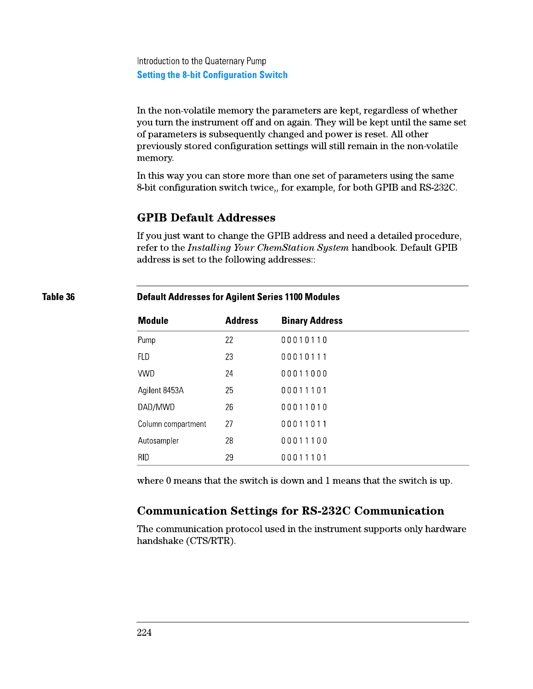Introduction to the Quaternary Pump **Setting the 8-bit Configuration Switch** 

In the non-volatile memory the parameters are kept, regardless of whether you turn the instrument off and on again. They will be kept until the same set of parameters is subsequently changed and power is reset. All other previously stored configuration settings will still remain in the non-volatile memory.

In this way you can store more than one set of parameters using the same 8-bit configuration switch twice,, for example, for both GPIB and RS-232C.

# **GPIB Default Addresses**

If you just want to change the GPIB address and need a detailed procedure, refer to the *Installing Your ChemStation System* handbook. Default GPIB address is set to the following addresses:

### **Default Addresses for Agilent Series 1100 Modules**

| <b>Module</b>      | <b>Address</b> | <b>Binary Address</b> |
|--------------------|----------------|-----------------------|
| Pump               | 22             | 00010110              |
| FLD                | 23             | 00010111              |
| <b>VWD</b>         | 24             | 00011000              |
| Agilent 8453A      | 25             | 00011101              |
| DAD/MWD            | 26             | 00011010              |
| Column compartment | 27             | 00011011              |
| Autosampler        | 28             | 00011100              |
| <b>RID</b>         | 29             | 00011101              |

where 0 means that the switch is down and 1 means that the switch is up.

# **Communication Settings for RS-232C Communication**

The communication protocol used in the instrument supports only hardware handshake (CTS/RTR).

Table 36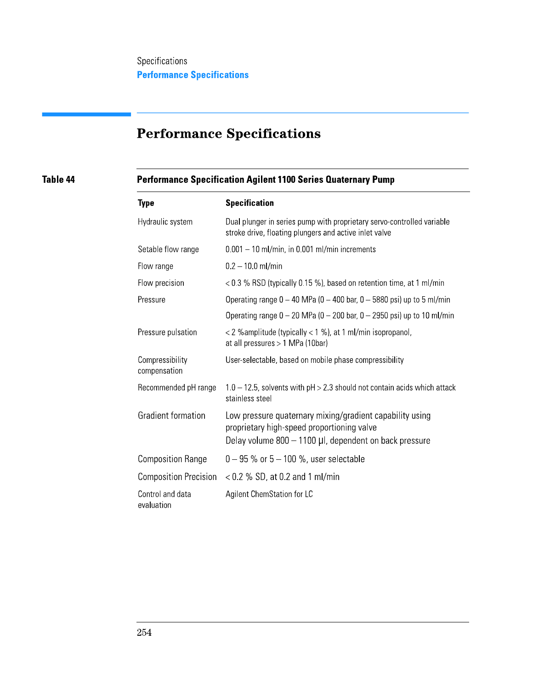# **Performance Specifications**

# Table 44

# Performance Specification Agilent 1100 Series Quaternary Pump

| <b>Type</b>                     | <b>Specification</b>                                                                                                                                             |
|---------------------------------|------------------------------------------------------------------------------------------------------------------------------------------------------------------|
| Hydraulic system                | Dual plunger in series pump with proprietary servo-controlled variable<br>stroke drive, floating plungers and active inlet valve                                 |
| Setable flow range              | $0.001 - 10$ ml/min, in 0.001 ml/min increments                                                                                                                  |
| Flow range                      | $0.2 - 10.0$ ml/min                                                                                                                                              |
| Flow precision                  | $<$ 0.3 % RSD (typically 0.15 %), based on retention time, at 1 ml/min                                                                                           |
| Pressure                        | Operating range $0 - 40$ MPa ( $0 - 400$ bar, $0 - 5880$ psi) up to 5 ml/min                                                                                     |
|                                 | Operating range $0 - 20$ MPa ( $0 - 200$ bar, $0 - 2950$ psi) up to 10 ml/min                                                                                    |
| Pressure pulsation              | $<$ 2 % amplitude (typically $<$ 1 %), at 1 ml/min isopropanol,<br>at all pressures $> 1$ MPa (10bar)                                                            |
| Compressibility<br>compensation | User-selectable, based on mobile phase compressibility                                                                                                           |
| Recommended pH range            | $1.0 - 12.5$ , solvents with pH $> 2.3$ should not contain acids which attack<br>stainless steel                                                                 |
| <b>Gradient formation</b>       | Low pressure quaternary mixing/gradient capability using<br>proprietary high-speed proportioning valve<br>Delay volume 800 - 1100 µl, dependent on back pressure |
| <b>Composition Range</b>        | $0 - 95$ % or $5 - 100$ %, user selectable                                                                                                                       |
| <b>Composition Precision</b>    | $<$ 0.2 % SD, at 0.2 and 1 ml/min                                                                                                                                |
| Control and data<br>evaluation  | Agilent ChemStation for LC                                                                                                                                       |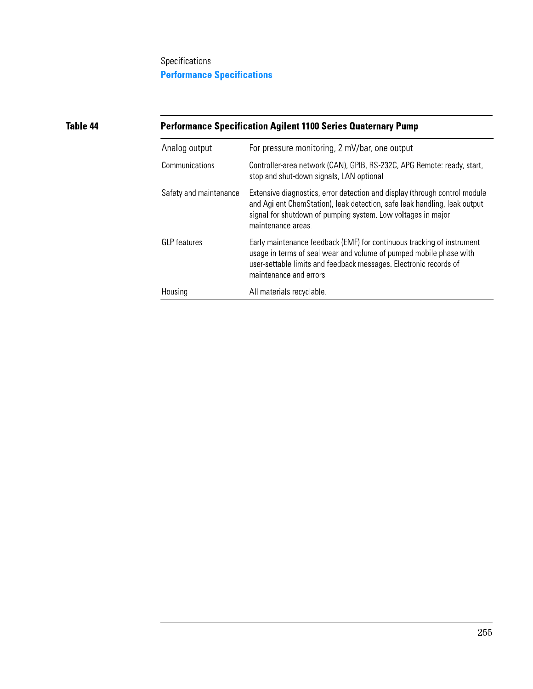# Specifications **Performance Specifications**

# Table 44

# Performance Specification Agilent 1100 Series Quaternary Pump

| Analog output          | For pressure monitoring, 2 mV/bar, one output                                                                                                                                                                                                 |
|------------------------|-----------------------------------------------------------------------------------------------------------------------------------------------------------------------------------------------------------------------------------------------|
| Communications         | Controller-area network (CAN), GPIB, RS-232C, APG Remote: ready, start,<br>stop and shut-down signals, LAN optional                                                                                                                           |
| Safety and maintenance | Extensive diagnostics, error detection and display (through control module<br>and Agilent ChemStation), leak detection, safe leak handling, leak output<br>signal for shutdown of pumping system. Low voltages in major<br>maintenance areas. |
| <b>GLP</b> features    | Early maintenance feedback (EMF) for continuous tracking of instrument<br>usage in terms of seal wear and volume of pumped mobile phase with<br>user-settable limits and feedback messages. Electronic records of<br>maintenance and errors.  |
| Housing                | All materials recyclable.                                                                                                                                                                                                                     |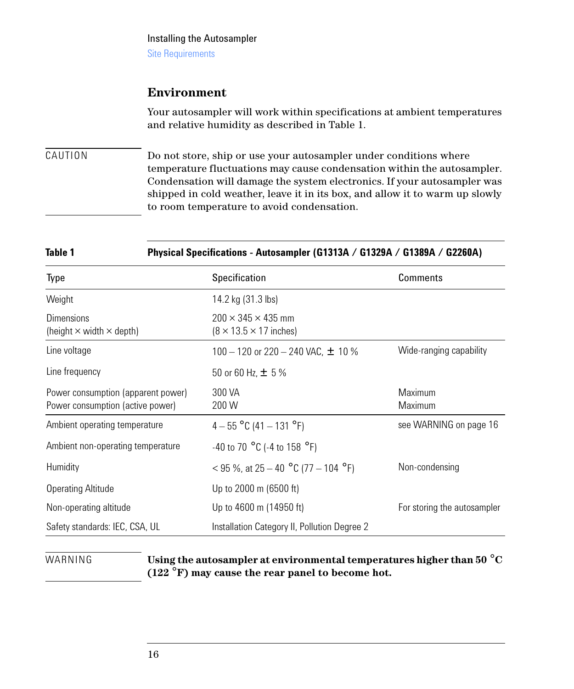#### Installing the Autosampler

Site Requirements

### **Environment**

Your autosampler will work within specifications at ambient temperatures and relative humidity as described in Table 1.

CAUTION Do not store, ship or use your autosampler under conditions where temperature fluctuations may cause condensation within the autosampler. Condensation will damage the system electronics. If your autosampler was shipped in cold weather, leave it in its box, and allow it to warm up slowly to room temperature to avoid condensation.

### **Table 1 Physical Specifications - Autosampler (G1313A / G1329A / G1389A / G2260A)**

| Type                                                                   | <b>Specification</b>                                                  | Comments                    |
|------------------------------------------------------------------------|-----------------------------------------------------------------------|-----------------------------|
| Weight                                                                 | 14.2 kg (31.3 lbs)                                                    |                             |
| <b>Dimensions</b><br>(height $\times$ width $\times$ depth)            | $200 \times 345 \times 435$ mm<br>$(8 \times 13.5 \times 17)$ inches) |                             |
| Line voltage                                                           | 100 - 120 or 220 - 240 VAC, $\pm$ 10 %                                | Wide-ranging capability     |
| Line frequency                                                         | 50 or 60 Hz, $\pm$ 5 %                                                |                             |
| Power consumption (apparent power)<br>Power consumption (active power) | 300 VA<br>200 W                                                       | Maximum<br>Maximum          |
| Ambient operating temperature                                          | $4 - 55$ °C (41 - 131 °F)                                             | see WARNING on page 16      |
| Ambient non-operating temperature                                      | -40 to 70 $^{\circ}$ C (-4 to 158 $^{\circ}$ F)                       |                             |
| Humidity                                                               | < 95 %, at $25 - 40$ °C (77 - 104 °F)                                 | Non-condensing              |
| <b>Operating Altitude</b>                                              | Up to 2000 m (6500 ft)                                                |                             |
| Non-operating altitude                                                 | Up to 4600 m (14950 ft)                                               | For storing the autosampler |
| Safety standards: IEC, CSA, UL                                         | Installation Category II, Pollution Degree 2                          |                             |

WARNING **Using the autosampler at environmental temperatures higher than 50** °**C (122** °**F) may cause the rear panel to become hot.**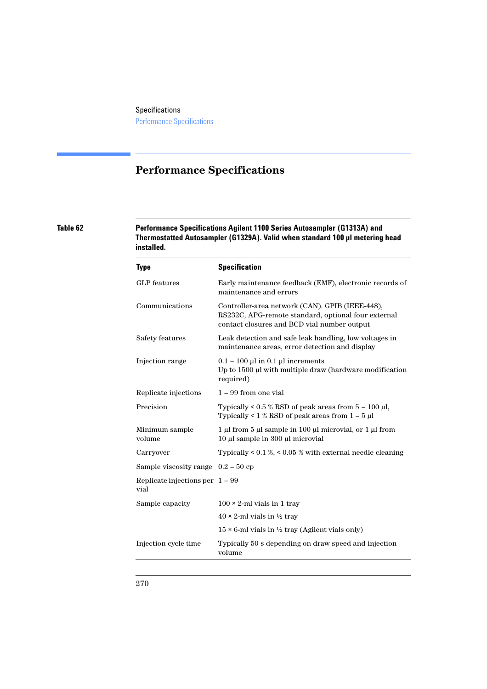# **Performance Specifications**

**Table 62 Performance Specifications Agilent 1100 Series Autosampler (G1313A) and Thermostatted Autosampler (G1329A). Valid when standard 100 µl metering head installed.**

| <b>Type</b>                               | <b>Specification</b>                                                                                                                                  |
|-------------------------------------------|-------------------------------------------------------------------------------------------------------------------------------------------------------|
| <b>GLP</b> features                       | Early maintenance feedback (EMF), electronic records of<br>maintenance and errors                                                                     |
| Communications                            | Controller-area network (CAN). GPIB (IEEE-448),<br>RS232C, APG-remote standard, optional four external<br>contact closures and BCD vial number output |
| Safety features                           | Leak detection and safe leak handling, low voltages in<br>maintenance areas, error detection and display                                              |
| Injection range                           | $0.1 - 100 \mu l$ in 0.1 $\mu l$ increments<br>Up to 1500 µl with multiple draw (hardware modification<br>required)                                   |
| Replicate injections                      | $1 - 99$ from one vial                                                                                                                                |
| Precision                                 | Typically $\leq 0.5$ % RSD of peak areas from $5 - 100$ µl,<br>Typically < $1\%$ RSD of peak areas from $1 - 5 \mu$                                   |
| Minimum sample<br>volume                  | 1 µl from 5 µl sample in 100 µl microvial, or 1 µl from<br>10 μl sample in 300 μl microvial                                                           |
| Carryover                                 | Typically < $0.1\%$ , < $0.05\%$ with external needle cleaning                                                                                        |
| Sample viscosity range $0.2 - 50$ cp      |                                                                                                                                                       |
| Replicate injections per $1 - 99$<br>vial |                                                                                                                                                       |
| Sample capacity                           | $100 \times 2$ -ml vials in 1 tray                                                                                                                    |
|                                           | $40 \times 2$ -ml vials in $\frac{1}{2}$ tray                                                                                                         |
|                                           | $15 \times 6$ -ml vials in $\frac{1}{2}$ tray (Agilent vials only)                                                                                    |
| Injection cycle time                      | Typically 50 s depending on draw speed and injection<br>volume                                                                                        |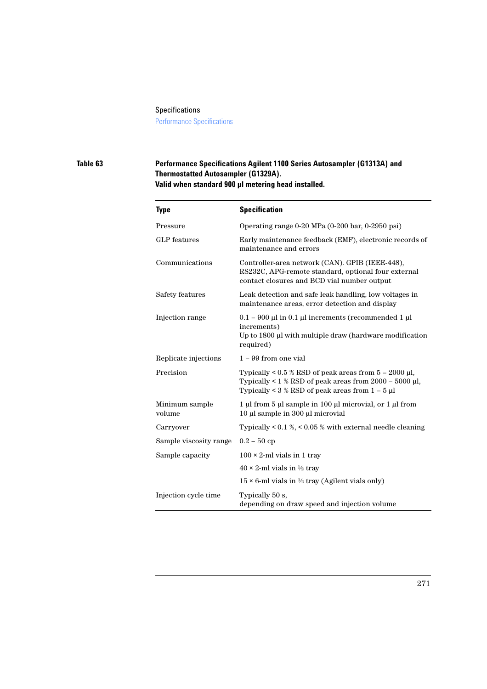#### Specifications

Performance Specifications

### **Table 63 Performance Specifications Agilent 1100 Series Autosampler (G1313A) and Thermostatted Autosampler (G1329A). Valid when standard 900 µl metering head installed.**

**-**  Pressure Operating range 0-20 MPa (0-200 bar, 0-2950 psi) GLP features Early maintenance feedback (EMF), electronic records of maintenance and errors Communications Controller-area network (CAN). GPIB (IEEE-448), RS232C, APG-remote standard, optional four external contact closures and BCD vial number output Safety features Leak detection and safe leak handling, low voltages in maintenance areas, error detection and display Injection range  $0.1 - 900 \mu l$  in 0.1  $\mu l$  increments (recommended 1  $\mu l$ increments) Up to 1800 µl with multiple draw (hardware modification required) Replicate injections  $1 - 99$  from one vial Precision Typically < 0.5 % RSD of peak areas from 5 – 2000 µl, Typically  $\leq 1$  % RSD of peak areas from 2000 – 5000 µl, Typically  $\lt 3$  % RSD of peak areas from  $1 - 5$  µl Minimum sample volume 1 µl from 5 µl sample in 100 µl microvial, or 1 µl from 10 µl sample in 300 µl microvial Carryover Typically < 0.1 %, < 0.05 % with external needle cleaning Sample viscosity range  $0.2 - 50$  cp Sample capacity  $100 \times 2$ -ml vials in 1 tray  $40 \times 2$ -ml vials in  $\frac{1}{2}$  tray  $15 \times 6$ -ml vials in  $\frac{1}{2}$  tray (Agilent vials only) Injection cycle time Typically 50 s, depending on draw speed and injection volume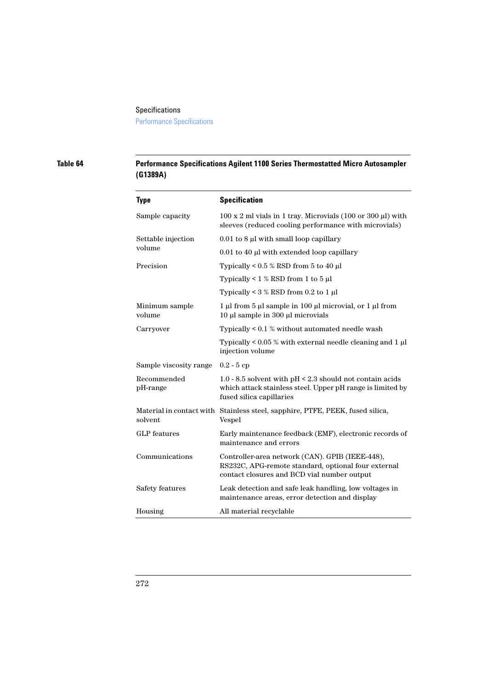Performance Specifications

### **Table 64 Performance Specifications Agilent 1100 Series Thermostatted Micro Autosampler (G1389A)**

| <b>Type</b>              | <b>Specification</b>                                                                                                                                  |  |
|--------------------------|-------------------------------------------------------------------------------------------------------------------------------------------------------|--|
| Sample capacity          | $100 \times 2$ ml vials in 1 tray. Microvials (100 or 300 $\mu$ l) with<br>sleeves (reduced cooling performance with microvials)                      |  |
| Settable injection       | $0.01$ to 8 µl with small loop capillary                                                                                                              |  |
| volume                   | 0.01 to 40 µl with extended loop capillary                                                                                                            |  |
| Precision                | Typically < $0.5\%$ RSD from 5 to 40 µl                                                                                                               |  |
|                          | Typically < $1\%$ RSD from 1 to 5 µl                                                                                                                  |  |
|                          | Typically < $3\%$ RSD from 0.2 to 1 µl                                                                                                                |  |
| Minimum sample<br>volume | 1 µl from 5 µl sample in 100 µl microvial, or 1 µl from<br>10 μl sample in 300 μl microvials                                                          |  |
| Carryover                | Typically $< 0.1$ % without automated needle wash                                                                                                     |  |
|                          | Typically $< 0.05$ % with external needle cleaning and 1 $\mu$ l<br>injection volume                                                                  |  |
| Sample viscosity range   | $0.2 - 5cp$                                                                                                                                           |  |
| Recommended<br>pH-range  | 1.0 - 8.5 solvent with pH < 2.3 should not contain acids<br>which attack stainless steel. Upper pH range is limited by<br>fused silica capillaries    |  |
| solvent                  | Material in contact with Stainless steel, sapphire, PTFE, PEEK, fused silica,<br>Vespel                                                               |  |
| <b>GLP</b> features      | Early maintenance feedback (EMF), electronic records of<br>maintenance and errors                                                                     |  |
| Communications           | Controller-area network (CAN). GPIB (IEEE-448),<br>RS232C, APG-remote standard, optional four external<br>contact closures and BCD vial number output |  |
| Safety features          | Leak detection and safe leak handling, low voltages in<br>maintenance areas, error detection and display                                              |  |
| Housing                  | All material recyclable                                                                                                                               |  |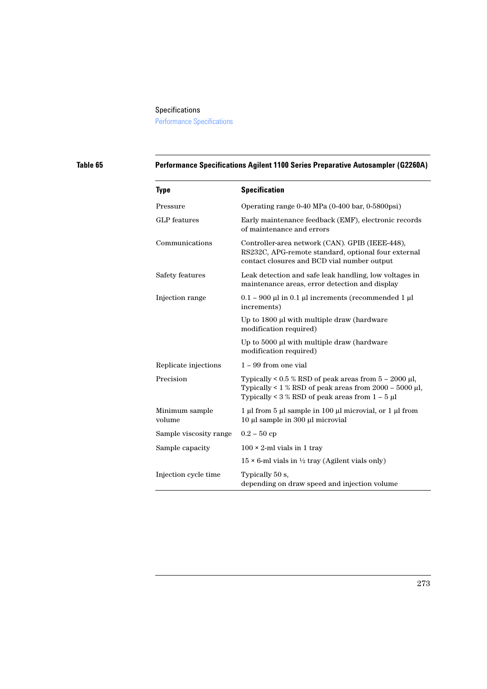## Specifications Performance Specifications

### **Table 65 Performance Specifications Agilent 1100 Series Preparative Autosampler (G2260A)**

| <b>Type</b>              | <b>Specification</b>                                                                                                                                                               |  |
|--------------------------|------------------------------------------------------------------------------------------------------------------------------------------------------------------------------------|--|
| Pressure                 | Operating range 0-40 MPa (0-400 bar, 0-5800psi)                                                                                                                                    |  |
| <b>GLP</b> features      | Early maintenance feedback (EMF), electronic records<br>of maintenance and errors                                                                                                  |  |
| Communications           | Controller-area network (CAN). GPIB (IEEE-448),<br>RS232C, APG-remote standard, optional four external<br>contact closures and BCD vial number output                              |  |
| Safety features          | Leak detection and safe leak handling, low voltages in<br>maintenance areas, error detection and display                                                                           |  |
| Injection range          | $0.1 - 900$ µl in 0.1 µl increments (recommended 1 µl<br>increments)                                                                                                               |  |
|                          | Up to 1800 µl with multiple draw (hardware<br>modification required)                                                                                                               |  |
|                          | Up to 5000 µl with multiple draw (hardware<br>modification required)                                                                                                               |  |
| Replicate injections     | $1 - 99$ from one vial                                                                                                                                                             |  |
| Precision                | Typically < $0.5 \%$ RSD of peak areas from $5 - 2000 \mu l$ ,<br>Typically < $1\%$ RSD of peak areas from 2000 – 5000 µl,<br>Typically < $3\%$ RSD of peak areas from $1 - 5 \mu$ |  |
| Minimum sample<br>volume | 1 µl from 5 µl sample in 100 µl microvial, or 1 µl from<br>10 μl sample in 300 μl microvial                                                                                        |  |
| Sample viscosity range   | $0.2 - 50$ cp                                                                                                                                                                      |  |
| Sample capacity          | $100 \times 2$ -ml vials in 1 tray                                                                                                                                                 |  |
|                          | $15 \times 6$ -ml vials in 1/2 tray (Agilent vials only)                                                                                                                           |  |
| Injection cycle time     | Typically 50 s,<br>depending on draw speed and injection volume                                                                                                                    |  |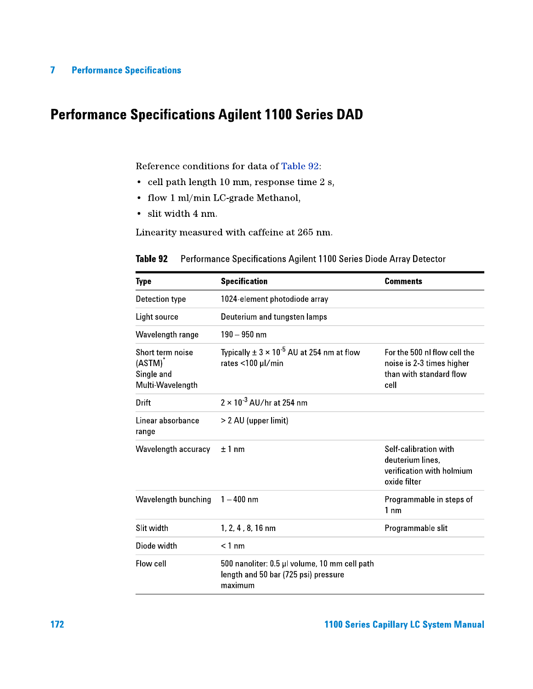# **Performance Specifications Agilent 1100 Series DAD**

Reference conditions for data of Table 92:

- cell path length 10 mm, response time 2 s,
- flow 1 ml/min LC-grade Methanol,
- · slit width 4 nm.

Linearity measured with caffeine at 265 nm.

| Type                                                         | <b>Specification</b>                                                                             | <b>Comments</b>                                                                              |
|--------------------------------------------------------------|--------------------------------------------------------------------------------------------------|----------------------------------------------------------------------------------------------|
| Detection type                                               | 1024-element photodiode array                                                                    |                                                                                              |
| Light source                                                 | Deuterium and tungsten lamps                                                                     |                                                                                              |
| Wavelength range                                             | $190 - 950$ nm                                                                                   |                                                                                              |
| Short term noise<br>(ASTM)<br>Single and<br>Multi Wavelength | Typically $\pm$ 3 $\times$ 10 <sup>-5</sup> AU at 254 nm at flow<br>rates <100 µl/min            | For the 500 nl flow cell the<br>noise is 2-3 times higher<br>than with standard flow<br>cell |
| Drift                                                        | $2 \times 10^{-3}$ AU/hr at 254 nm                                                               |                                                                                              |
| Linear absorbance<br>range                                   | > 2 AU (upper limit)                                                                             |                                                                                              |
| Wavelength accuracy                                          | $±1$ nm                                                                                          | Self-calibration with<br>deuterium lines,<br>verification with holmium<br>oxide filter       |
| Wavelength bunching                                          | $1 - 400$ nm                                                                                     | Programmable in steps of<br>$1 \text{ nm}$                                                   |
| Slit width                                                   | 1, 2, 4, 8, 16 nm                                                                                | Programmable slit                                                                            |
| Diode width                                                  | $< 1$ nm                                                                                         |                                                                                              |
| Flow cell                                                    | 500 nanoliter: 0.5 µl volume, 10 mm cell path<br>length and 50 bar (725 psi) pressure<br>maximum |                                                                                              |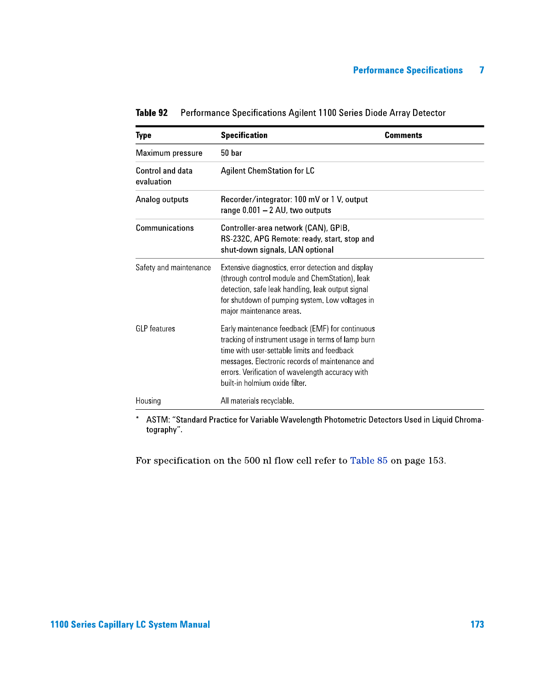| <b>Type</b>                    | <b>Specification</b>                                                                                                                                                                                                                                                                          | <b>Comments</b> |
|--------------------------------|-----------------------------------------------------------------------------------------------------------------------------------------------------------------------------------------------------------------------------------------------------------------------------------------------|-----------------|
| Maximum pressure               | 50 bar                                                                                                                                                                                                                                                                                        |                 |
| Control and data<br>evaluation | <b>Agilent ChemStation for LC</b>                                                                                                                                                                                                                                                             |                 |
| Analog outputs                 | Recorder/integrator: 100 mV or 1 V, output<br>range $0.001 - 2$ AU, two outputs                                                                                                                                                                                                               |                 |
| Communications                 | Controller-area network (CAN), GPIB,<br>RS-232C, APG Remote: ready, start, stop and<br>shut-down signals, LAN optional                                                                                                                                                                        |                 |
| Safety and maintenance         | Extensive diagnostics, error detection and display<br>(through control module and ChemStation), leak<br>detection, safe leak handling, leak output signal<br>for shutdown of pumping system. Low voltages in<br>major maintenance areas.                                                      |                 |
| <b>GLP</b> features            | Early maintenance feedback (EMF) for continuous<br>tracking of instrument usage in terms of lamp burn<br>time with user-settable limits and feedback<br>messages. Electronic records of maintenance and<br>errors. Verification of wavelength accuracy with<br>built-in holmium oxide filter. |                 |
| Housing                        | All materials recyclable.                                                                                                                                                                                                                                                                     |                 |

Performance Specifications Agilent 1100 Series Diode Array Detector Table 92

\* ASTM: "Standard Practice for Variable Wavelength Photometric Detectors Used in Liquid Chromatography".

For specification on the 500 nl flow cell refer to Table 85 on page 153.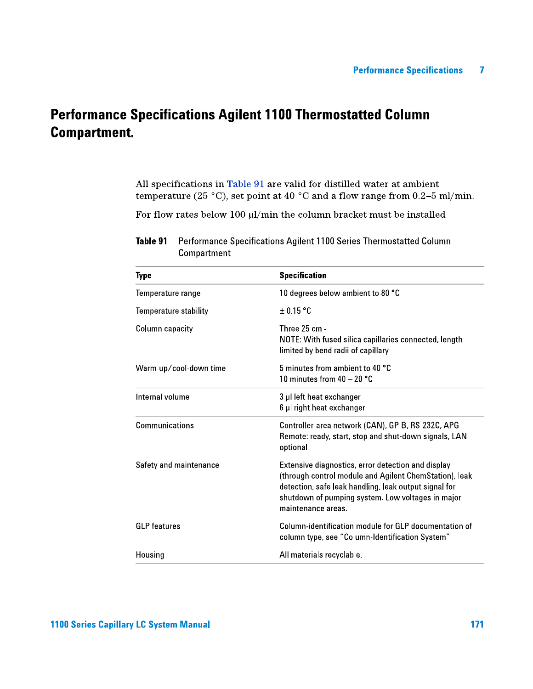# **Performance Specifications Agilent 1100 Thermostatted Column Compartment.**

All specifications in Table 91 are valid for distilled water at ambient temperature (25 °C), set point at 40 °C and a flow range from 0.2-5 ml/min.

For flow rates below 100  $\mu l/min$  the column bracket must be installed

| Type                   | <b>Specification</b>                                                                                                                                                                                                                            |
|------------------------|-------------------------------------------------------------------------------------------------------------------------------------------------------------------------------------------------------------------------------------------------|
| Temperature range      | 10 degrees below ambient to 80 °C                                                                                                                                                                                                               |
| Temperature stability  | $\pm$ 0.15 °C                                                                                                                                                                                                                                   |
| Column capacity        | Three 25 cm -<br>NOTE: With fused silica capillaries connected, length<br>limited by bend radii of capillary                                                                                                                                    |
| Warm-up/cool-down time | 5 minutes from ambient to 40 °C<br>10 minutes from 40 - 20 °C                                                                                                                                                                                   |
| Internal volume        | 3 µl left heat exchanger<br>6 µl right heat exchanger                                                                                                                                                                                           |
| Communications         | Controller-area network (CAN), GPIB, RS-232C, APG<br>Remote: ready, start, stop and shut-down signals, LAN<br>optional                                                                                                                          |
| Safety and maintenance | Extensive diagnostics, error detection and display<br>(through control module and Agilent ChemStation), leak<br>detection, safe leak handling, leak output signal for<br>shutdown of pumping system. Low voltages in major<br>maintenance areas |
| <b>GLP</b> features    | Column-identification module for GLP documentation of<br>column type, see "Column-Identification System"                                                                                                                                        |
| Housing                | All materials recyclable.                                                                                                                                                                                                                       |

Table 91 Performance Specifications Agilent 1100 Series Thermostatted Column Compartment